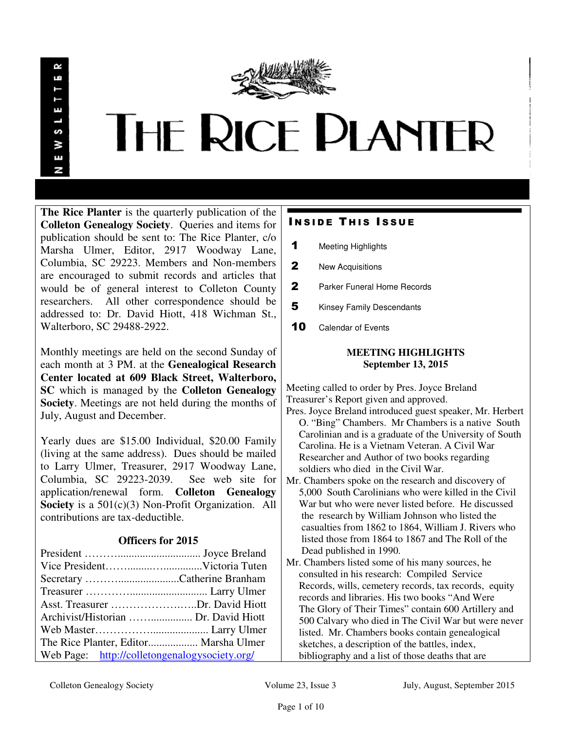

**The Rice Planter** is the quarterly publication of the **Colleton Genealogy Society**. Queries and items for publication should be sent to: The Rice Planter, c/o Marsha Ulmer, Editor, 2917 Woodway Lane, Columbia, SC 29223. Members and Non-members are encouraged to submit records and articles that would be of general interest to Colleton County researchers. All other correspondence should be addressed to: Dr. David Hiott, 418 Wichman St., Walterboro, SC 29488-2922.

Monthly meetings are held on the second Sunday of each month at 3 PM. at the **Genealogical Research Center located at 609 Black Street, Walterboro, SC** which is managed by the **Colleton Genealogy Society**. Meetings are not held during the months of July, August and December.

Yearly dues are \$15.00 Individual, \$20.00 Family (living at the same address). Dues should be mailed to Larry Ulmer, Treasurer, 2917 Woodway Lane, Columbia, SC 29223-2039. See web site for application/renewal form. **Colleton Genealogy Society** is a 501(c)(3) Non-Profit Organization. All contributions are tax-deductible.

## **Officers for 2015**

| Secretary Catherine Branham                   |  |
|-----------------------------------------------|--|
|                                               |  |
| Asst. Treasurer Dr. David Hiott               |  |
| Archivist/Historian  Dr. David Hiott          |  |
|                                               |  |
| The Rice Planter, Editor Marsha Ulmer         |  |
| Web Page: http://colletongenalogysociety.org/ |  |

# **INSIDE THIS ISSUE**

- 1 Meeting Highlights
- 2 New Acquisitions
- 2 Parker Funeral Home Records
- **5** Kinsey Family Descendants
- 10 Calendar of Events

## **MEETING HIGHLIGHTS September 13, 2015**

Meeting called to order by Pres. Joyce Breland Treasurer's Report given and approved.

- Pres. Joyce Breland introduced guest speaker, Mr. Herbert O. "Bing" Chambers. Mr Chambers is a native South Carolinian and is a graduate of the University of South Carolina. He is a Vietnam Veteran. A Civil War Researcher and Author of two books regarding soldiers who died in the Civil War.
- Mr. Chambers spoke on the research and discovery of 5,000 South Carolinians who were killed in the Civil War but who were never listed before. He discussed the research by William Johnson who listed the casualties from 1862 to 1864, William J. Rivers who listed those from 1864 to 1867 and The Roll of the Dead published in 1990.
- Mr. Chambers listed some of his many sources, he consulted in his research: Compiled Service Records, wills, cemetery records, tax records, equity records and libraries. His two books "And Were The Glory of Their Times" contain 600 Artillery and 500 Calvary who died in The Civil War but were never listed. Mr. Chambers books contain genealogical sketches, a description of the battles, index, bibliography and a list of those deaths that are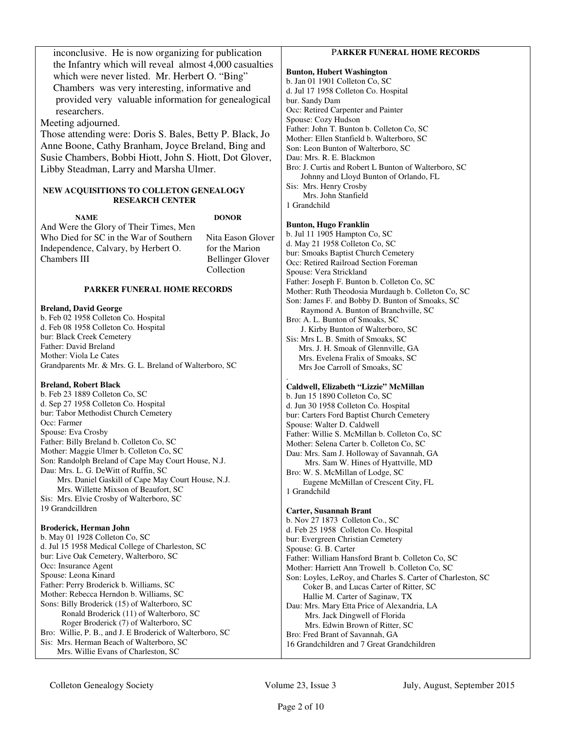| inconclusive. He is now organizing for publication                                             |                         | PARKER FUNERAL HOME RECORDS                                                                                    |
|------------------------------------------------------------------------------------------------|-------------------------|----------------------------------------------------------------------------------------------------------------|
| the Infantry which will reveal almost 4,000 casualties                                         |                         |                                                                                                                |
| which were never listed. Mr. Herbert O. "Bing"                                                 |                         | <b>Bunton, Hubert Washington</b>                                                                               |
| Chambers was very interesting, informative and                                                 |                         | b. Jan 01 1901 Colleton Co, SC                                                                                 |
| provided very valuable information for genealogical                                            |                         | d. Jul 17 1958 Colleton Co. Hospital                                                                           |
|                                                                                                |                         | bur. Sandy Dam<br>Occ: Retired Carpenter and Painter                                                           |
| researchers.                                                                                   |                         | Spouse: Cozy Hudson                                                                                            |
| Meeting adjourned.                                                                             |                         | Father: John T. Bunton b. Colleton Co, SC                                                                      |
| Those attending were: Doris S. Bales, Betty P. Black, Jo                                       |                         | Mother: Ellen Stanfield b. Walterboro, SC                                                                      |
| Anne Boone, Cathy Branham, Joyce Breland, Bing and                                             |                         | Son: Leon Bunton of Walterboro, SC                                                                             |
| Susie Chambers, Bobbi Hiott, John S. Hiott, Dot Glover,                                        |                         | Dau: Mrs. R. E. Blackmon                                                                                       |
| Libby Steadman, Larry and Marsha Ulmer.                                                        |                         | Bro: J. Curtis and Robert L Bunton of Walterboro, SC<br>Johnny and Lloyd Bunton of Orlando, FL                 |
| NEW ACQUISITIONS TO COLLETON GENEALOGY                                                         |                         | Sis: Mrs. Henry Crosby                                                                                         |
| <b>RESEARCH CENTER</b>                                                                         |                         | Mrs. John Stanfield<br>1 Grandchild                                                                            |
|                                                                                                |                         |                                                                                                                |
| <b>NAME</b>                                                                                    | <b>DONOR</b>            | <b>Bunton, Hugo Franklin</b>                                                                                   |
| And Were the Glory of Their Times, Men                                                         |                         | b. Jul 11 1905 Hampton Co, SC                                                                                  |
| Who Died for SC in the War of Southern                                                         | Nita Eason Glover       | d. May 21 1958 Colleton Co, SC                                                                                 |
| Independence, Calvary, by Herbert O.                                                           | for the Marion          | bur: Smoaks Baptist Church Cemetery                                                                            |
| Chambers III                                                                                   | <b>Bellinger Glover</b> | Occ: Retired Railroad Section Foreman                                                                          |
|                                                                                                | Collection              | Spouse: Vera Strickland                                                                                        |
| <b>PARKER FUNERAL HOME RECORDS</b>                                                             |                         | Father: Joseph F. Bunton b. Colleton Co, SC                                                                    |
|                                                                                                |                         | Mother: Ruth Theodosia Murdaugh b. Colleton Co, SC                                                             |
| <b>Breland, David George</b>                                                                   |                         | Son: James F. and Bobby D. Bunton of Smoaks, SC<br>Raymond A. Bunton of Branchville, SC                        |
| b. Feb 02 1958 Colleton Co. Hospital                                                           |                         | Bro: A. L. Bunton of Smoaks, SC                                                                                |
| d. Feb 08 1958 Colleton Co. Hospital                                                           |                         | J. Kirby Bunton of Walterboro, SC                                                                              |
| bur: Black Creek Cemetery                                                                      |                         | Sis: Mrs L. B. Smith of Smoaks, SC                                                                             |
| Father: David Breland                                                                          |                         | Mrs. J. H. Smoak of Glennville, GA                                                                             |
| Mother: Viola Le Cates                                                                         |                         | Mrs. Evelena Fralix of Smoaks, SC                                                                              |
| Grandparents Mr. & Mrs. G. L. Breland of Walterboro, SC                                        |                         | Mrs Joe Carroll of Smoaks, SC                                                                                  |
| <b>Breland, Robert Black</b>                                                                   |                         |                                                                                                                |
| b. Feb 23 1889 Colleton Co, SC                                                                 |                         | Caldwell, Elizabeth "Lizzie" McMillan<br>b. Jun 15 1890 Colleton Co, SC                                        |
| d. Sep 27 1958 Colleton Co. Hospital                                                           |                         | d. Jun 30 1958 Colleton Co. Hospital                                                                           |
| bur: Tabor Methodist Church Cemetery                                                           |                         | bur: Carters Ford Baptist Church Cemetery                                                                      |
| Occ: Farmer                                                                                    |                         | Spouse: Walter D. Caldwell                                                                                     |
| Spouse: Eva Crosby                                                                             |                         | Father: Willie S. McMillan b. Colleton Co, SC                                                                  |
| Father: Billy Breland b. Colleton Co, SC                                                       |                         | Mother: Selena Carter b. Colleton Co, SC                                                                       |
| Mother: Maggie Ulmer b. Colleton Co, SC<br>Son: Randolph Breland of Cape May Court House, N.J. |                         | Dau: Mrs. Sam J. Holloway of Savannah, GA                                                                      |
| Dau: Mrs. L. G. DeWitt of Ruffin, SC                                                           |                         | Mrs. Sam W. Hines of Hyattville, MD                                                                            |
| Mrs. Daniel Gaskill of Cape May Court House, N.J.                                              |                         | Bro: W. S. McMillan of Lodge, SC                                                                               |
| Mrs. Willette Mixson of Beaufort, SC                                                           |                         | Eugene McMillan of Crescent City, FL<br>1 Grandchild                                                           |
| Sis: Mrs. Elvie Crosby of Walterboro, SC                                                       |                         |                                                                                                                |
| 19 Grandcilldren                                                                               |                         | <b>Carter, Susannah Brant</b>                                                                                  |
|                                                                                                |                         | b. Nov 27 1873 Colleton Co., SC                                                                                |
| Broderick, Herman John                                                                         |                         | d. Feb 25 1958 Colleton Co. Hospital                                                                           |
| b. May 01 1928 Colleton Co, SC                                                                 |                         | bur: Evergreen Christian Cemetery                                                                              |
| d. Jul 15 1958 Medical College of Charleston, SC<br>bur: Live Oak Cemetery, Walterboro, SC     |                         | Spouse: G. B. Carter                                                                                           |
| Occ: Insurance Agent                                                                           |                         | Father: William Hansford Brant b. Colleton Co, SC                                                              |
| Spouse: Leona Kinard                                                                           |                         | Mother: Harriett Ann Trowell b. Colleton Co, SC<br>Son: Loyles, LeRoy, and Charles S. Carter of Charleston, SC |
| Father: Perry Broderick b. Williams, SC                                                        |                         | Coker B, and Lucas Carter of Ritter, SC                                                                        |
| Mother: Rebecca Herndon b. Williams, SC                                                        |                         | Hallie M. Carter of Saginaw, TX                                                                                |
| Sons: Billy Broderick (15) of Walterboro, SC                                                   |                         | Dau: Mrs. Mary Etta Price of Alexandria, LA                                                                    |
| Ronald Broderick (11) of Walterboro, SC                                                        |                         | Mrs. Jack Dingwell of Florida                                                                                  |
| Roger Broderick (7) of Walterboro, SC                                                          |                         | Mrs. Edwin Brown of Ritter, SC                                                                                 |
| Bro: Willie, P. B., and J. E Broderick of Walterboro, SC                                       |                         | Bro: Fred Brant of Savannah, GA                                                                                |
| Sis: Mrs. Herman Beach of Walterboro, SC                                                       |                         | 16 Grandchildren and 7 Great Grandchildren                                                                     |
| Mrs. Willie Evans of Charleston, SC                                                            |                         |                                                                                                                |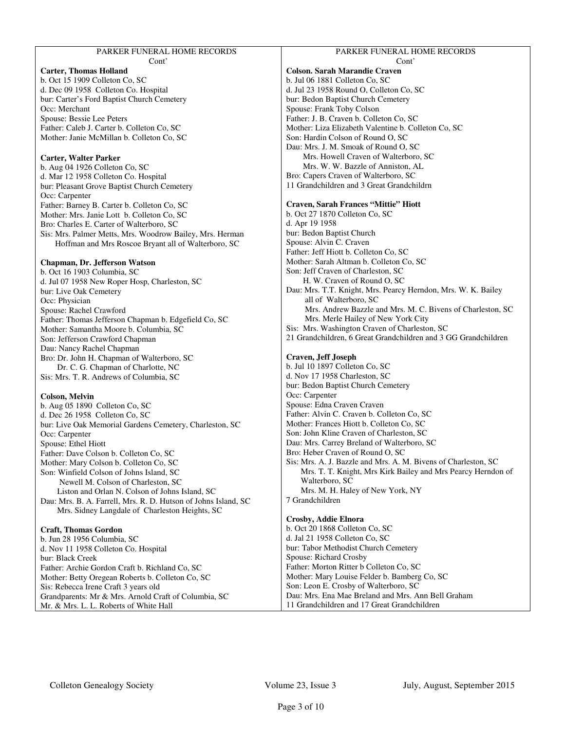| PARKER FUNERAL HOME RECORDS |  |
|-----------------------------|--|
| Cont'                       |  |

### **Carter, Thomas Holland**

b. Oct 15 1909 Colleton Co, SC d. Dec 09 1958 Colleton Co. Hospital bur: Carter's Ford Baptist Church Cemetery Occ: Merchant Spouse: Bessie Lee Peters Father: Caleb J. Carter b. Colleton Co, SC Mother: Janie McMillan b. Colleton Co, SC

### **Carter, Walter Parker**

b. Aug 04 1926 Colleton Co, SC d. Mar 12 1958 Colleton Co. Hospital bur: Pleasant Grove Baptist Church Cemetery Occ: Carpenter Father: Barney B. Carter b. Colleton Co, SC Mother: Mrs. Janie Lott b. Colleton Co, SC Bro: Charles E. Carter of Walterboro, SC Sis: Mrs. Palmer Metts, Mrs. Woodrow Bailey, Mrs. Herman Hoffman and Mrs Roscoe Bryant all of Walterboro, SC

### **Chapman, Dr. Jefferson Watson**

b. Oct 16 1903 Columbia, SC d. Jul 07 1958 New Roper Hosp, Charleston, SC bur: Live Oak Cemetery Occ: Physician Spouse: Rachel Crawford Father: Thomas Jefferson Chapman b. Edgefield Co, SC Mother: Samantha Moore b. Columbia, SC Son: Jefferson Crawford Chapman Dau: Nancy Rachel Chapman Bro: Dr. John H. Chapman of Walterboro, SC Dr. C. G. Chapman of Charlotte, NC Sis: Mrs. T. R. Andrews of Columbia, SC

### **Colson, Melvin**

b. Aug 05 1890 Colleton Co, SC d. Dec 26 1958 Colleton Co, SC bur: Live Oak Memorial Gardens Cemetery, Charleston, SC Occ: Carpenter Spouse: Ethel Hiott Father: Dave Colson b. Colleton Co, SC Mother: Mary Colson b. Colleton Co, SC Son: Winfield Colson of Johns Island, SC Newell M. Colson of Charleston, SC Liston and Orlan N. Colson of Johns Island, SC Dau: Mrs. B. A. Farrell, Mrs. R. D. Hutson of Johns Island, SC Mrs. Sidney Langdale of Charleston Heights, SC

### **Craft, Thomas Gordon**

b. Jun 28 1956 Columbia, SC d. Nov 11 1958 Colleton Co. Hospital bur: Black Creek Father: Archie Gordon Craft b. Richland Co, SC Mother: Betty Oregean Roberts b. Colleton Co, SC Sis: Rebecca Irene Craft 3 years old Grandparents: Mr & Mrs. Arnold Craft of Columbia, SC Mr. & Mrs. L. L. Roberts of White Hall

#### PARKER FUNERAL HOME RECORDS Cont'

## **Colson. Sarah Marandie Craven**

b. Jul 06 1881 Colleton Co, SC d. Jul 23 1958 Round O, Colleton Co, SC bur: Bedon Baptist Church Cemetery Spouse: Frank Toby Colson Father: J. B. Craven b. Colleton Co, SC Mother: Liza Elizabeth Valentine b. Colleton Co, SC Son: Hardin Colson of Round O, SC Dau: Mrs. J. M. Smoak of Round O, SC Mrs. Howell Craven of Walterboro, SC Mrs. W. W. Bazzle of Anniston, AL Bro: Capers Craven of Walterboro, SC 11 Grandchildren and 3 Great Grandchildrn

### **Craven, Sarah Frances "Mittie" Hiott**

b. Oct 27 1870 Colleton Co, SC d. Apr 19 1958 bur: Bedon Baptist Church Spouse: Alvin C. Craven Father: Jeff Hiott b. Colleton Co, SC Mother: Sarah Altman b. Colleton Co, SC Son: Jeff Craven of Charleston, SC H. W. Craven of Round O, SC Dau: Mrs. T.T. Knight, Mrs. Pearcy Herndon, Mrs. W. K. Bailey all of Walterboro, SC Mrs. Andrew Bazzle and Mrs. M. C. Bivens of Charleston, SC Mrs. Merle Hailey of New York City Sis: Mrs. Washington Craven of Charleston, SC 21 Grandchildren, 6 Great Grandchildren and 3 GG Grandchildren

### **Craven, Jeff Joseph**

b. Jul 10 1897 Colleton Co, SC d. Nov 17 1958 Charleston, SC bur: Bedon Baptist Church Cemetery Occ: Carpenter Spouse: Edna Craven Craven Father: Alvin C. Craven b. Colleton Co, SC Mother: Frances Hiott b. Colleton Co, SC Son: John Kline Craven of Charleston, SC Dau: Mrs. Carrey Breland of Walterboro, SC Bro: Heber Craven of Round O, SC Sis: Mrs. A. J. Bazzle and Mrs. A. M. Bivens of Charleston, SC Mrs. T. T. Knight, Mrs Kirk Bailey and Mrs Pearcy Herndon of Walterboro, SC Mrs. M. H. Haley of New York, NY 7 Grandchildren **Crosby, Addie Elnora**  b. Oct 20 1868 Colleton Co, SC d. Jal 21 1958 Colleton Co, SC

bur: Tabor Methodist Church Cemetery Spouse: Richard Crosby Father: Morton Ritter b Colleton Co, SC Mother: Mary Louise Felder b. Bamberg Co, SC Son: Leon E. Crosby of Walterboro, SC Dau: Mrs. Ena Mae Breland and Mrs. Ann Bell Graham 11 Grandchildren and 17 Great Grandchildren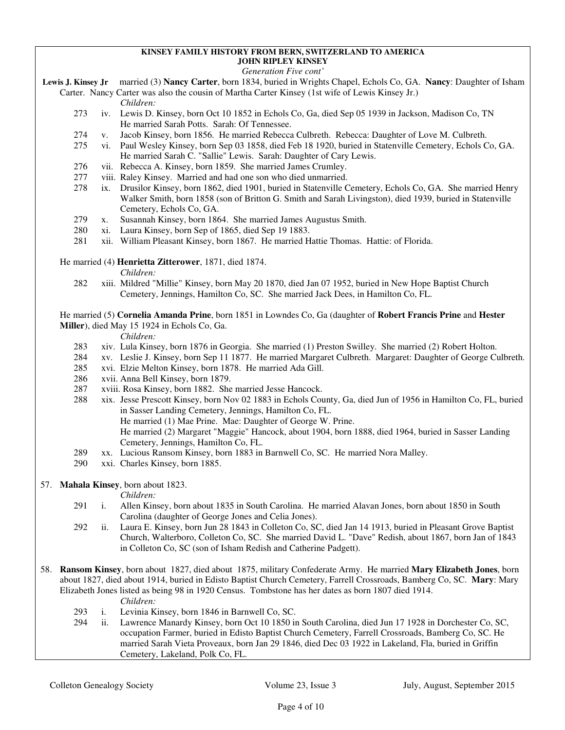### **KINSEY FAMILY HISTORY FROM BERN, SWITZERLAND TO AMERICA JOHN RIPLEY KINSEY**

### *Generation Five cont'*

- **Lewis J. Kinsey Jr** married (3) **Nancy Carter**, born 1834, buried in Wrights Chapel, Echols Co, GA. **Nancy**: Daughter of Isham
	- Carter. Nancy Carter was also the cousin of Martha Carter Kinsey (1st wife of Lewis Kinsey Jr.) *Children:*
		- 273 iv. Lewis D. Kinsey, born Oct 10 1852 in Echols Co, Ga, died Sep 05 1939 in Jackson, Madison Co, TN He married Sarah Potts. Sarah: Of Tennessee.
		- 274 v. Jacob Kinsey, born 1856. He married Rebecca Culbreth. Rebecca: Daughter of Love M. Culbreth.
		- 275 vi. Paul Wesley Kinsey, born Sep 03 1858, died Feb 18 1920, buried in Statenville Cemetery, Echols Co, GA. He married Sarah C. "Sallie" Lewis. Sarah: Daughter of Cary Lewis.<br>276 vii. Rebecca A. Kinsev. born 1859. She married James Crumley.
		- vii. Rebecca A. Kinsey, born 1859. She married James Crumley.
		- 277 viii. Raley Kinsey. Married and had one son who died unmarried.
		- 278 ix. Drusilor Kinsey, born 1862, died 1901, buried in Statenville Cemetery, Echols Co, GA. She married Henry Walker Smith, born 1858 (son of Britton G. Smith and Sarah Livingston), died 1939, buried in Statenville Cemetery, Echols Co, GA.
		- 279 x. Susannah Kinsey, born 1864. She married James Augustus Smith.
		- 280 xi. Laura Kinsey, born Sep of 1865, died Sep 19 1883.
		- 281 xii. William Pleasant Kinsey, born 1867. He married Hattie Thomas. Hattie: of Florida.
	- He married (4) **Henrietta Zitterower**, 1871, died 1874.

*Children:*

 282 xiii. Mildred "Millie" Kinsey, born May 20 1870, died Jan 07 1952, buried in New Hope Baptist Church Cemetery, Jennings, Hamilton Co, SC. She married Jack Dees, in Hamilton Co, FL.

 He married (5) **Cornelia Amanda Prine**, born 1851 in Lowndes Co, Ga (daughter of **Robert Francis Prine** and **Hester Miller**), died May 15 1924 in Echols Co, Ga.

### *Children:*

- 283 xiv. Lula Kinsey, born 1876 in Georgia. She married (1) Preston Swilley. She married (2) Robert Holton.
- 284 xv. Leslie J. Kinsey, born Sep 11 1877. He married Margaret Culbreth. Margaret: Daughter of George Culbreth.
- 285 xvi. Elzie Melton Kinsey, born 1878. He married Ada Gill.
- 286 xvii. Anna Bell Kinsey, born 1879.
- 287 xviii. Rosa Kinsey, born 1882. She married Jesse Hancock.
- 288 xix. Jesse Prescott Kinsey, born Nov 02 1883 in Echols County, Ga, died Jun of 1956 in Hamilton Co, FL, buried in Sasser Landing Cemetery, Jennings, Hamilton Co, FL.
	- He married (1) Mae Prine. Mae: Daughter of George W. Prine.
	- He married (2) Margaret "Maggie" Hancock, about 1904, born 1888, died 1964, buried in Sasser Landing Cemetery, Jennings, Hamilton Co, FL.
- 289 xx. Lucious Ransom Kinsey, born 1883 in Barnwell Co, SC. He married Nora Malley.
- 290 xxi. Charles Kinsey, born 1885.
- 57. **Mahala Kinsey**, born about 1823.

- 291 i. Allen Kinsey, born about 1835 in South Carolina. He married Alavan Jones, born about 1850 in South Carolina (daughter of George Jones and Celia Jones).
- 292 ii. Laura E. Kinsey, born Jun 28 1843 in Colleton Co, SC, died Jan 14 1913, buried in Pleasant Grove Baptist Church, Walterboro, Colleton Co, SC. She married David L. "Dave" Redish, about 1867, born Jan of 1843 in Colleton Co, SC (son of Isham Redish and Catherine Padgett).
- 58. **Ransom Kinsey**, born about 1827, died about 1875, military Confederate Army. He married **Mary Elizabeth Jones**, born about 1827, died about 1914, buried in Edisto Baptist Church Cemetery, Farrell Crossroads, Bamberg Co, SC. **Mary**: Mary Elizabeth Jones listed as being 98 in 1920 Census. Tombstone has her dates as born 1807 died 1914. *Children:*
	- 293 i. Levinia Kinsey, born 1846 in Barnwell Co, SC.
	- 294 ii. Lawrence Manardy Kinsey, born Oct 10 1850 in South Carolina, died Jun 17 1928 in Dorchester Co, SC, occupation Farmer, buried in Edisto Baptist Church Cemetery, Farrell Crossroads, Bamberg Co, SC. He married Sarah Vieta Proveaux, born Jan 29 1846, died Dec 03 1922 in Lakeland, Fla, buried in Griffin Cemetery, Lakeland, Polk Co, FL.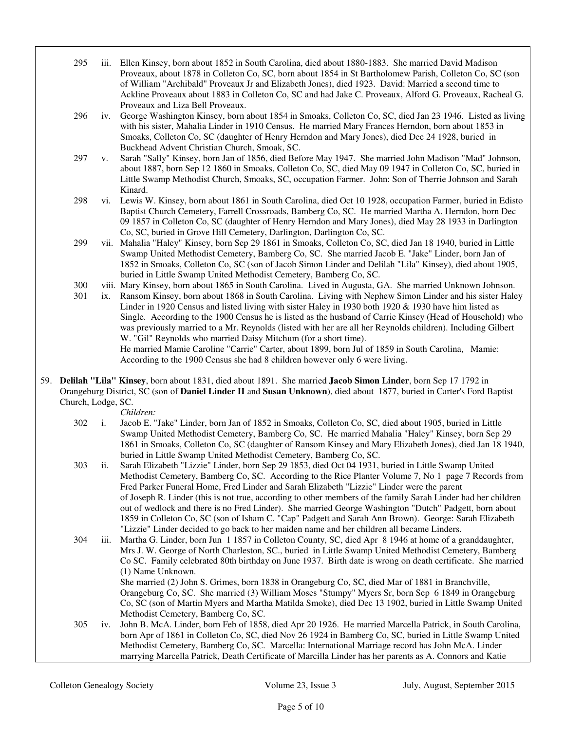| 295 | iii. Ellen Kinsey, born about 1852 in South Carolina, died about 1880-1883. She married David Madison     |
|-----|-----------------------------------------------------------------------------------------------------------|
|     | Proveaux, about 1878 in Colleton Co, SC, born about 1854 in St Bartholomew Parish, Colleton Co, SC (son   |
|     | of William "Archibald" Proveaux Jr and Elizabeth Jones), died 1923. David: Married a second time to       |
|     | Ackline Proveaux about 1883 in Colleton Co, SC and had Jake C. Proveaux, Alford G. Proveaux, Racheal G.   |
|     | Proveaux and Liza Bell Proveaux.                                                                          |
| ∩∩∠ | in Cognes Westington Eineen ham shout 1954 in Smaaks, Calleton Co. SC. died Jan 22,1046. Listed as living |

- 296 iv. George Washington Kinsey, born about 1854 in Smoaks, Colleton Co, SC, died Jan 23 1946. Listed as living with his sister, Mahalia Linder in 1910 Census. He married Mary Frances Herndon, born about 1853 in Smoaks, Colleton Co, SC (daughter of Henry Herndon and Mary Jones), died Dec 24 1928, buried in Buckhead Advent Christian Church, Smoak, SC.
- 297 v. Sarah "Sally" Kinsey, born Jan of 1856, died Before May 1947. She married John Madison "Mad" Johnson, about 1887, born Sep 12 1860 in Smoaks, Colleton Co, SC, died May 09 1947 in Colleton Co, SC, buried in Little Swamp Methodist Church, Smoaks, SC, occupation Farmer. John: Son of Therrie Johnson and Sarah Kinard.
- 298 vi. Lewis W. Kinsey, born about 1861 in South Carolina, died Oct 10 1928, occupation Farmer, buried in Edisto Baptist Church Cemetery, Farrell Crossroads, Bamberg Co, SC. He married Martha A. Herndon, born Dec 09 1857 in Colleton Co, SC (daughter of Henry Herndon and Mary Jones), died May 28 1933 in Darlington Co, SC, buried in Grove Hill Cemetery, Darlington, Darlington Co, SC.
- 299 vii. Mahalia "Haley" Kinsey, born Sep 29 1861 in Smoaks, Colleton Co, SC, died Jan 18 1940, buried in Little Swamp United Methodist Cemetery, Bamberg Co, SC. She married Jacob E. "Jake" Linder, born Jan of 1852 in Smoaks, Colleton Co, SC (son of Jacob Simon Linder and Delilah "Lila" Kinsey), died about 1905, buried in Little Swamp United Methodist Cemetery, Bamberg Co, SC.
- 300 viii. Mary Kinsey, born about 1865 in South Carolina. Lived in Augusta, GA. She married Unknown Johnson.<br>301 ix. Ransom Kinsey, born about 1868 in South Carolina. Living with Nephew Simon Linder and his sister Hale
- ix. Ransom Kinsey, born about 1868 in South Carolina. Living with Nephew Simon Linder and his sister Haley Linder in 1920 Census and listed living with sister Haley in 1930 both 1920 & 1930 have him listed as Single. According to the 1900 Census he is listed as the husband of Carrie Kinsey (Head of Household) who was previously married to a Mr. Reynolds (listed with her are all her Reynolds children). Including Gilbert W. "Gil" Reynolds who married Daisy Mitchum (for a short time). He married Mamie Caroline "Carrie" Carter, about 1899, born Jul of 1859 in South Carolina, Mamie: According to the 1900 Census she had 8 children however only 6 were living.

59. **Delilah "Lila" Kinsey**, born about 1831, died about 1891. She married **Jacob Simon Linder**, born Sep 17 1792 in Orangeburg District, SC (son of **Daniel Linder II** and **Susan Unknown**), died about 1877, buried in Carter's Ford Baptist Church, Lodge, SC.

*Children:*

 302 i. Jacob E. "Jake" Linder, born Jan of 1852 in Smoaks, Colleton Co, SC, died about 1905, buried in Little Swamp United Methodist Cemetery, Bamberg Co, SC. He married Mahalia "Haley" Kinsey, born Sep 29 1861 in Smoaks, Colleton Co, SC (daughter of Ransom Kinsey and Mary Elizabeth Jones), died Jan 18 1940, buried in Little Swamp United Methodist Cemetery, Bamberg Co, SC.

 303 ii. Sarah Elizabeth "Lizzie" Linder, born Sep 29 1853, died Oct 04 1931, buried in Little Swamp United Methodist Cemetery, Bamberg Co, SC. According to the Rice Planter Volume 7, No 1 page 7 Records from Fred Parker Funeral Home, Fred Linder and Sarah Elizabeth "Lizzie" Linder were the parent of Joseph R. Linder (this is not true, according to other members of the family Sarah Linder had her children out of wedlock and there is no Fred Linder). She married George Washington "Dutch" Padgett, born about 1859 in Colleton Co, SC (son of Isham C. "Cap" Padgett and Sarah Ann Brown). George: Sarah Elizabeth "Lizzie" Linder decided to go back to her maiden name and her children all became Linders.

 304 iii. Martha G. Linder, born Jun 1 1857 in Colleton County, SC, died Apr 8 1946 at home of a granddaughter, Mrs J. W. George of North Charleston, SC., buried in Little Swamp United Methodist Cemetery, Bamberg Co SC. Family celebrated 80th birthday on June 1937. Birth date is wrong on death certificate. She married (1) Name Unknown. She married (2) John S. Grimes, born 1838 in Orangeburg Co, SC, died Mar of 1881 in Branchville,

Orangeburg Co, SC. She married (3) William Moses "Stumpy" Myers Sr, born Sep 6 1849 in Orangeburg Co, SC (son of Martin Myers and Martha Matilda Smoke), died Dec 13 1902, buried in Little Swamp United Methodist Cemetery, Bamberg Co, SC.

 305 iv. John B. McA. Linder, born Feb of 1858, died Apr 20 1926. He married Marcella Patrick, in South Carolina, born Apr of 1861 in Colleton Co, SC, died Nov 26 1924 in Bamberg Co, SC, buried in Little Swamp United Methodist Cemetery, Bamberg Co, SC. Marcella: International Marriage record has John McA. Linder marrying Marcella Patrick, Death Certificate of Marcilla Linder has her parents as A. Connors and Katie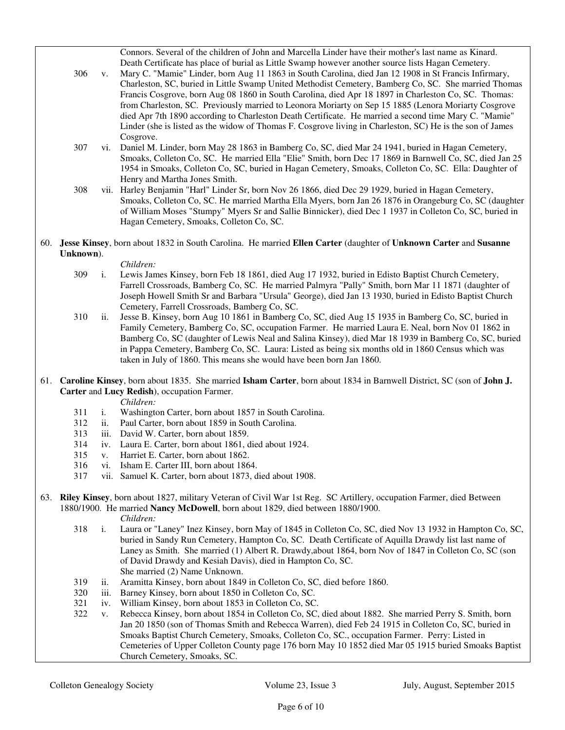Connors. Several of the children of John and Marcella Linder have their mother's last name as Kinard. Death Certificate has place of burial as Little Swamp however another source lists Hagan Cemetery.

- 306 v. Mary C. "Mamie" Linder, born Aug 11 1863 in South Carolina, died Jan 12 1908 in St Francis Infirmary, Charleston, SC, buried in Little Swamp United Methodist Cemetery, Bamberg Co, SC. She married Thomas Francis Cosgrove, born Aug 08 1860 in South Carolina, died Apr 18 1897 in Charleston Co, SC. Thomas: from Charleston, SC. Previously married to Leonora Moriarty on Sep 15 1885 (Lenora Moriarty Cosgrove died Apr 7th 1890 according to Charleston Death Certificate. He married a second time Mary C. "Mamie" Linder (she is listed as the widow of Thomas F. Cosgrove living in Charleston, SC) He is the son of James Cosgrove.
- 307 vi. Daniel M. Linder, born May 28 1863 in Bamberg Co, SC, died Mar 24 1941, buried in Hagan Cemetery, Smoaks, Colleton Co, SC. He married Ella "Elie" Smith, born Dec 17 1869 in Barnwell Co, SC, died Jan 25 1954 in Smoaks, Colleton Co, SC, buried in Hagan Cemetery, Smoaks, Colleton Co, SC. Ella: Daughter of Henry and Martha Jones Smith.
- 308 vii. Harley Benjamin "Harl" Linder Sr, born Nov 26 1866, died Dec 29 1929, buried in Hagan Cemetery, Smoaks, Colleton Co, SC. He married Martha Ella Myers, born Jan 26 1876 in Orangeburg Co, SC (daughter of William Moses "Stumpy" Myers Sr and Sallie Binnicker), died Dec 1 1937 in Colleton Co, SC, buried in Hagan Cemetery, Smoaks, Colleton Co, SC.
- 60. **Jesse Kinsey**, born about 1832 in South Carolina. He married **Ellen Carter** (daughter of **Unknown Carter** and **Susanne Unknown**).

- 309 i. Lewis James Kinsey, born Feb 18 1861, died Aug 17 1932, buried in Edisto Baptist Church Cemetery, Farrell Crossroads, Bamberg Co, SC. He married Palmyra "Pally" Smith, born Mar 11 1871 (daughter of Joseph Howell Smith Sr and Barbara "Ursula" George), died Jan 13 1930, buried in Edisto Baptist Church Cemetery, Farrell Crossroads, Bamberg Co, SC.
- 310 ii. Jesse B. Kinsey, born Aug 10 1861 in Bamberg Co, SC, died Aug 15 1935 in Bamberg Co, SC, buried in Family Cemetery, Bamberg Co, SC, occupation Farmer. He married Laura E. Neal, born Nov 01 1862 in Bamberg Co, SC (daughter of Lewis Neal and Salina Kinsey), died Mar 18 1939 in Bamberg Co, SC, buried in Pappa Cemetery, Bamberg Co, SC. Laura: Listed as being six months old in 1860 Census which was taken in July of 1860. This means she would have been born Jan 1860.
- 61. **Caroline Kinsey**, born about 1835. She married **Isham Carter**, born about 1834 in Barnwell District, SC (son of **John J. Carter** and **Lucy Redish**), occupation Farmer.
	- *Children:*
	- 311 i. Washington Carter, born about 1857 in South Carolina.
	- 312 ii. Paul Carter, born about 1859 in South Carolina.
	- 313 iii. David W. Carter, born about 1859.
	- 314 iv. Laura E. Carter, born about 1861, died about 1924.
	- 315 v. Harriet E. Carter, born about 1862.
	- 316 vi. Isham E. Carter III, born about 1864.
	- 317 vii. Samuel K. Carter, born about 1873, died about 1908.
- 63. **Riley Kinsey**, born about 1827, military Veteran of Civil War 1st Reg. SC Artillery, occupation Farmer, died Between 1880/1900. He married **Nancy McDowell**, born about 1829, died between 1880/1900. *Children:*
	- 318 i. Laura or "Laney" Inez Kinsey, born May of 1845 in Colleton Co, SC, died Nov 13 1932 in Hampton Co, SC, buried in Sandy Run Cemetery, Hampton Co, SC. Death Certificate of Aquilla Drawdy list last name of Laney as Smith. She married (1) Albert R. Drawdy,about 1864, born Nov of 1847 in Colleton Co, SC (son of David Drawdy and Kesiah Davis), died in Hampton Co, SC. She married (2) Name Unknown.
	- 319 ii. Aramitta Kinsey, born about 1849 in Colleton Co, SC, died before 1860.
	- 320 iii. Barney Kinsey, born about 1850 in Colleton Co, SC.
	- 321 iv. William Kinsey, born about 1853 in Colleton Co, SC.<br>322 v. Rebecca Kinsey, born about 1854 in Colleton Co, SC.
	- v. Rebecca Kinsey, born about 1854 in Colleton Co, SC, died about 1882. She married Perry S. Smith, born Jan 20 1850 (son of Thomas Smith and Rebecca Warren), died Feb 24 1915 in Colleton Co, SC, buried in Smoaks Baptist Church Cemetery, Smoaks, Colleton Co, SC., occupation Farmer. Perry: Listed in Cemeteries of Upper Colleton County page 176 born May 10 1852 died Mar 05 1915 buried Smoaks Baptist Church Cemetery, Smoaks, SC.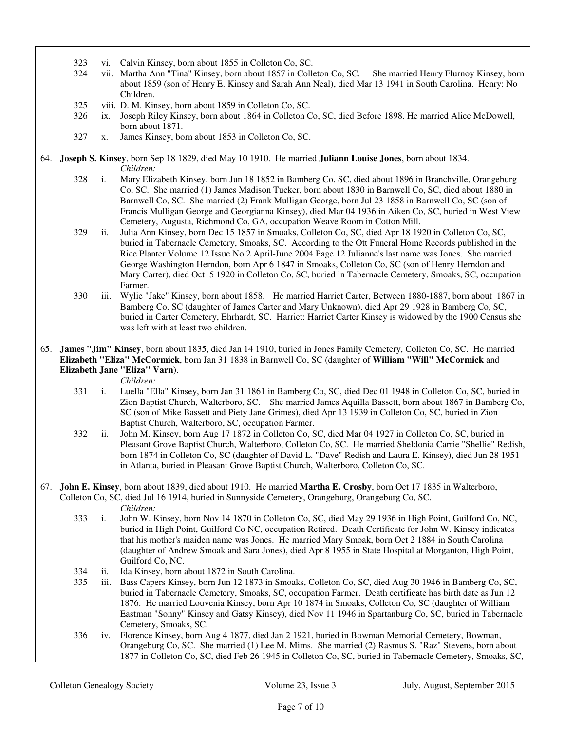- 323 vi. Calvin Kinsey, born about 1855 in Colleton Co, SC.
- 324 vii. Martha Ann "Tina" Kinsey, born about 1857 in Colleton Co, SC. She married Henry Flurnoy Kinsey, born about 1859 (son of Henry E. Kinsey and Sarah Ann Neal), died Mar 13 1941 in South Carolina. Henry: No Children.
- 325 viii. D. M. Kinsey, born about 1859 in Colleton Co, SC.
- 326 ix. Joseph Riley Kinsey, born about 1864 in Colleton Co, SC, died Before 1898. He married Alice McDowell, born about 1871.
- 327 x. James Kinsey, born about 1853 in Colleton Co, SC.
- 64. **Joseph S. Kinsey**, born Sep 18 1829, died May 10 1910. He married **Juliann Louise Jones**, born about 1834. *Children:*
	- 328 i. Mary Elizabeth Kinsey, born Jun 18 1852 in Bamberg Co, SC, died about 1896 in Branchville, Orangeburg Co, SC. She married (1) James Madison Tucker, born about 1830 in Barnwell Co, SC, died about 1880 in Barnwell Co, SC. She married (2) Frank Mulligan George, born Jul 23 1858 in Barnwell Co, SC (son of Francis Mulligan George and Georgianna Kinsey), died Mar 04 1936 in Aiken Co, SC, buried in West View Cemetery, Augusta, Richmond Co, GA, occupation Weave Room in Cotton Mill.
	- 329 ii. Julia Ann Kinsey, born Dec 15 1857 in Smoaks, Colleton Co, SC, died Apr 18 1920 in Colleton Co, SC, buried in Tabernacle Cemetery, Smoaks, SC. According to the Ott Funeral Home Records published in the Rice Planter Volume 12 Issue No 2 April-June 2004 Page 12 Julianne's last name was Jones. She married George Washington Herndon, born Apr 6 1847 in Smoaks, Colleton Co, SC (son of Henry Herndon and Mary Carter), died Oct 5 1920 in Colleton Co, SC, buried in Tabernacle Cemetery, Smoaks, SC, occupation Farmer.
	- 330 iii. Wylie "Jake" Kinsey, born about 1858. He married Harriet Carter, Between 1880-1887, born about 1867 in Bamberg Co, SC (daughter of James Carter and Mary Unknown), died Apr 29 1928 in Bamberg Co, SC, buried in Carter Cemetery, Ehrhardt, SC. Harriet: Harriet Carter Kinsey is widowed by the 1900 Census she was left with at least two children.
- 65. **James "Jim" Kinsey**, born about 1835, died Jan 14 1910, buried in Jones Family Cemetery, Colleton Co, SC. He married **Elizabeth "Eliza" McCormick**, born Jan 31 1838 in Barnwell Co, SC (daughter of **William "Will" McCormick** and **Elizabeth Jane "Eliza" Varn**).

*Children:*

- 331 i. Luella "Ella" Kinsey, born Jan 31 1861 in Bamberg Co, SC, died Dec 01 1948 in Colleton Co, SC, buried in Zion Baptist Church, Walterboro, SC. She married James Aquilla Bassett, born about 1867 in Bamberg Co, SC (son of Mike Bassett and Piety Jane Grimes), died Apr 13 1939 in Colleton Co, SC, buried in Zion Baptist Church, Walterboro, SC, occupation Farmer.
- 332 ii. John M. Kinsey, born Aug 17 1872 in Colleton Co, SC, died Mar 04 1927 in Colleton Co, SC, buried in Pleasant Grove Baptist Church, Walterboro, Colleton Co, SC. He married Sheldonia Carrie "Shellie" Redish, born 1874 in Colleton Co, SC (daughter of David L. "Dave" Redish and Laura E. Kinsey), died Jun 28 1951 in Atlanta, buried in Pleasant Grove Baptist Church, Walterboro, Colleton Co, SC.
- 67. **John E. Kinsey**, born about 1839, died about 1910. He married **Martha E. Crosby**, born Oct 17 1835 in Walterboro, Colleton Co, SC, died Jul 16 1914, buried in Sunnyside Cemetery, Orangeburg, Orangeburg Co, SC.

- 333 i. John W. Kinsey, born Nov 14 1870 in Colleton Co, SC, died May 29 1936 in High Point, Guilford Co, NC, buried in High Point, Guilford Co NC, occupation Retired. Death Certificate for John W. Kinsey indicates that his mother's maiden name was Jones. He married Mary Smoak, born Oct 2 1884 in South Carolina (daughter of Andrew Smoak and Sara Jones), died Apr 8 1955 in State Hospital at Morganton, High Point, Guilford Co, NC.
- 334 ii. Ida Kinsey, born about 1872 in South Carolina.
- 335 iii. Bass Capers Kinsey, born Jun 12 1873 in Smoaks, Colleton Co, SC, died Aug 30 1946 in Bamberg Co, SC, buried in Tabernacle Cemetery, Smoaks, SC, occupation Farmer. Death certificate has birth date as Jun 12 1876. He married Louvenia Kinsey, born Apr 10 1874 in Smoaks, Colleton Co, SC (daughter of William Eastman "Sonny" Kinsey and Gatsy Kinsey), died Nov 11 1946 in Spartanburg Co, SC, buried in Tabernacle Cemetery, Smoaks, SC.
- 336 iv. Florence Kinsey, born Aug 4 1877, died Jan 2 1921, buried in Bowman Memorial Cemetery, Bowman, Orangeburg Co, SC. She married (1) Lee M. Mims. She married (2) Rasmus S. "Raz" Stevens, born about 1877 in Colleton Co, SC, died Feb 26 1945 in Colleton Co, SC, buried in Tabernacle Cemetery, Smoaks, SC,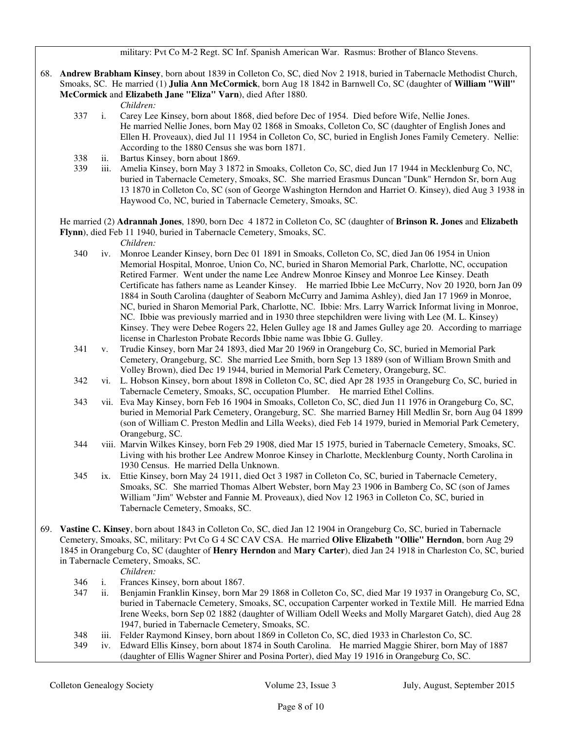68. **Andrew Brabham Kinsey**, born about 1839 in Colleton Co, SC, died Nov 2 1918, buried in Tabernacle Methodist Church, Smoaks, SC. He married (1) **Julia Ann McCormick**, born Aug 18 1842 in Barnwell Co, SC (daughter of **William "Will" McCormick** and **Elizabeth Jane "Eliza" Varn**), died After 1880.

*Children:*

- 337 i. Carey Lee Kinsey, born about 1868, died before Dec of 1954. Died before Wife, Nellie Jones.
	- He married Nellie Jones, born May 02 1868 in Smoaks, Colleton Co, SC (daughter of English Jones and Ellen H. Proveaux), died Jul 11 1954 in Colleton Co, SC, buried in English Jones Family Cemetery. Nellie: According to the 1880 Census she was born 1871.
- 338 ii. Bartus Kinsey, born about 1869.
- 339 iii. Amelia Kinsey, born May 3 1872 in Smoaks, Colleton Co, SC, died Jun 17 1944 in Mecklenburg Co, NC, buried in Tabernacle Cemetery, Smoaks, SC. She married Erasmus Duncan "Dunk" Herndon Sr, born Aug 13 1870 in Colleton Co, SC (son of George Washington Herndon and Harriet O. Kinsey), died Aug 3 1938 in Haywood Co, NC, buried in Tabernacle Cemetery, Smoaks, SC.

 He married (2) **Adrannah Jones**, 1890, born Dec 4 1872 in Colleton Co, SC (daughter of **Brinson R. Jones** and **Elizabeth Flynn**), died Feb 11 1940, buried in Tabernacle Cemetery, Smoaks, SC.

*Children:*

- 340 iv. Monroe Leander Kinsey, born Dec 01 1891 in Smoaks, Colleton Co, SC, died Jan 06 1954 in Union Memorial Hospital, Monroe, Union Co, NC, buried in Sharon Memorial Park, Charlotte, NC, occupation Retired Farmer. Went under the name Lee Andrew Monroe Kinsey and Monroe Lee Kinsey. Death Certificate has fathers name as Leander Kinsey. He married Ibbie Lee McCurry, Nov 20 1920, born Jan 09 1884 in South Carolina (daughter of Seaborn McCurry and Jamima Ashley), died Jan 17 1969 in Monroe, NC, buried in Sharon Memorial Park, Charlotte, NC. Ibbie: Mrs. Larry Warrick Informat living in Monroe, NC. Ibbie was previously married and in 1930 three stepchildren were living with Lee (M. L. Kinsey) Kinsey. They were Debee Rogers 22, Helen Gulley age 18 and James Gulley age 20. According to marriage license in Charleston Probate Records Ibbie name was Ibbie G. Gulley.
- 341 v. Trudie Kinsey, born Mar 24 1893, died Mar 20 1969 in Orangeburg Co, SC, buried in Memorial Park Cemetery, Orangeburg, SC. She married Lee Smith, born Sep 13 1889 (son of William Brown Smith and Volley Brown), died Dec 19 1944, buried in Memorial Park Cemetery, Orangeburg, SC.
- 342 vi. L. Hobson Kinsey, born about 1898 in Colleton Co, SC, died Apr 28 1935 in Orangeburg Co, SC, buried in Tabernacle Cemetery, Smoaks, SC, occupation Plumber. He married Ethel Collins.
- 343 vii. Eva May Kinsey, born Feb 16 1904 in Smoaks, Colleton Co, SC, died Jun 11 1976 in Orangeburg Co, SC, buried in Memorial Park Cemetery, Orangeburg, SC. She married Barney Hill Medlin Sr, born Aug 04 1899 (son of William C. Preston Medlin and Lilla Weeks), died Feb 14 1979, buried in Memorial Park Cemetery, Orangeburg, SC.
- 344 viii. Marvin Wilkes Kinsey, born Feb 29 1908, died Mar 15 1975, buried in Tabernacle Cemetery, Smoaks, SC. Living with his brother Lee Andrew Monroe Kinsey in Charlotte, Mecklenburg County, North Carolina in 1930 Census. He married Della Unknown.
- 345 ix. Ettie Kinsey, born May 24 1911, died Oct 3 1987 in Colleton Co, SC, buried in Tabernacle Cemetery, Smoaks, SC. She married Thomas Albert Webster, born May 23 1906 in Bamberg Co, SC (son of James William "Jim" Webster and Fannie M. Proveaux), died Nov 12 1963 in Colleton Co, SC, buried in Tabernacle Cemetery, Smoaks, SC.
- 69. **Vastine C. Kinsey**, born about 1843 in Colleton Co, SC, died Jan 12 1904 in Orangeburg Co, SC, buried in Tabernacle Cemetery, Smoaks, SC, military: Pvt Co G 4 SC CAV CSA. He married **Olive Elizabeth "Ollie" Herndon**, born Aug 29 1845 in Orangeburg Co, SC (daughter of **Henry Herndon** and **Mary Carter**), died Jan 24 1918 in Charleston Co, SC, buried in Tabernacle Cemetery, Smoaks, SC.

- 346 i. Frances Kinsey, born about 1867.
- 347 ii. Benjamin Franklin Kinsey, born Mar 29 1868 in Colleton Co, SC, died Mar 19 1937 in Orangeburg Co, SC, buried in Tabernacle Cemetery, Smoaks, SC, occupation Carpenter worked in Textile Mill. He married Edna Irene Weeks, born Sep 02 1882 (daughter of William Odell Weeks and Molly Margaret Gatch), died Aug 28 1947, buried in Tabernacle Cemetery, Smoaks, SC.
- 348 iii. Felder Raymond Kinsey, born about 1869 in Colleton Co, SC, died 1933 in Charleston Co, SC.
- 349 iv. Edward Ellis Kinsey, born about 1874 in South Carolina. He married Maggie Shirer, born May of 1887 (daughter of Ellis Wagner Shirer and Posina Porter), died May 19 1916 in Orangeburg Co, SC.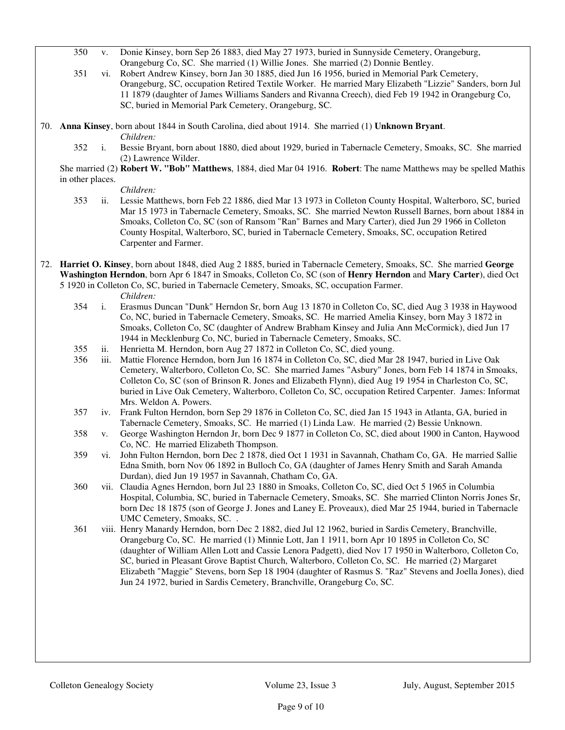- 350 v. Donie Kinsey, born Sep 26 1883, died May 27 1973, buried in Sunnyside Cemetery, Orangeburg, Orangeburg Co, SC. She married (1) Willie Jones. She married (2) Donnie Bentley.
- 351 vi. Robert Andrew Kinsey, born Jan 30 1885, died Jun 16 1956, buried in Memorial Park Cemetery, Orangeburg, SC, occupation Retired Textile Worker. He married Mary Elizabeth "Lizzie" Sanders, born Jul 11 1879 (daughter of James Williams Sanders and Rivanna Creech), died Feb 19 1942 in Orangeburg Co, SC, buried in Memorial Park Cemetery, Orangeburg, SC.

70. **Anna Kinsey**, born about 1844 in South Carolina, died about 1914. She married (1) **Unknown Bryant**.

*Children:*

 352 i. Bessie Bryant, born about 1880, died about 1929, buried in Tabernacle Cemetery, Smoaks, SC. She married (2) Lawrence Wilder.

 She married (2) **Robert W. "Bob" Matthews**, 1884, died Mar 04 1916. **Robert**: The name Matthews may be spelled Mathis in other places.

*Children:*

- 353 ii. Lessie Matthews, born Feb 22 1886, died Mar 13 1973 in Colleton County Hospital, Walterboro, SC, buried Mar 15 1973 in Tabernacle Cemetery, Smoaks, SC. She married Newton Russell Barnes, born about 1884 in Smoaks, Colleton Co, SC (son of Ransom "Ran" Barnes and Mary Carter), died Jun 29 1966 in Colleton County Hospital, Walterboro, SC, buried in Tabernacle Cemetery, Smoaks, SC, occupation Retired Carpenter and Farmer.
- 72. **Harriet O. Kinsey**, born about 1848, died Aug 2 1885, buried in Tabernacle Cemetery, Smoaks, SC. She married **George Washington Herndon**, born Apr 6 1847 in Smoaks, Colleton Co, SC (son of **Henry Herndon** and **Mary Carter**), died Oct 5 1920 in Colleton Co, SC, buried in Tabernacle Cemetery, Smoaks, SC, occupation Farmer.

- 354 i. Erasmus Duncan "Dunk" Herndon Sr, born Aug 13 1870 in Colleton Co, SC, died Aug 3 1938 in Haywood Co, NC, buried in Tabernacle Cemetery, Smoaks, SC. He married Amelia Kinsey, born May 3 1872 in Smoaks, Colleton Co, SC (daughter of Andrew Brabham Kinsey and Julia Ann McCormick), died Jun 17 1944 in Mecklenburg Co, NC, buried in Tabernacle Cemetery, Smoaks, SC.
- 355 ii. Henrietta M. Herndon, born Aug 27 1872 in Colleton Co, SC, died young.
- iii. Mattie Florence Herndon, born Jun 16 1874 in Colleton Co, SC, died Mar 28 1947, buried in Live Oak Cemetery, Walterboro, Colleton Co, SC. She married James "Asbury" Jones, born Feb 14 1874 in Smoaks, Colleton Co, SC (son of Brinson R. Jones and Elizabeth Flynn), died Aug 19 1954 in Charleston Co, SC, buried in Live Oak Cemetery, Walterboro, Colleton Co, SC, occupation Retired Carpenter. James: Informat Mrs. Weldon A. Powers.
- 357 iv. Frank Fulton Herndon, born Sep 29 1876 in Colleton Co, SC, died Jan 15 1943 in Atlanta, GA, buried in Tabernacle Cemetery, Smoaks, SC. He married (1) Linda Law. He married (2) Bessie Unknown.
- 358 v. George Washington Herndon Jr, born Dec 9 1877 in Colleton Co, SC, died about 1900 in Canton, Haywood Co, NC. He married Elizabeth Thompson.
- 359 vi. John Fulton Herndon, born Dec 2 1878, died Oct 1 1931 in Savannah, Chatham Co, GA. He married Sallie Edna Smith, born Nov 06 1892 in Bulloch Co, GA (daughter of James Henry Smith and Sarah Amanda Durdan), died Jun 19 1957 in Savannah, Chatham Co, GA.
- 360 vii. Claudia Agnes Herndon, born Jul 23 1880 in Smoaks, Colleton Co, SC, died Oct 5 1965 in Columbia Hospital, Columbia, SC, buried in Tabernacle Cemetery, Smoaks, SC. She married Clinton Norris Jones Sr, born Dec 18 1875 (son of George J. Jones and Laney E. Proveaux), died Mar 25 1944, buried in Tabernacle UMC Cemetery, Smoaks, SC. .
- 361 viii. Henry Manardy Herndon, born Dec 2 1882, died Jul 12 1962, buried in Sardis Cemetery, Branchville, Orangeburg Co, SC. He married (1) Minnie Lott, Jan 1 1911, born Apr 10 1895 in Colleton Co, SC (daughter of William Allen Lott and Cassie Lenora Padgett), died Nov 17 1950 in Walterboro, Colleton Co, SC, buried in Pleasant Grove Baptist Church, Walterboro, Colleton Co, SC. He married (2) Margaret Elizabeth "Maggie" Stevens, born Sep 18 1904 (daughter of Rasmus S. "Raz" Stevens and Joella Jones), died Jun 24 1972, buried in Sardis Cemetery, Branchville, Orangeburg Co, SC.